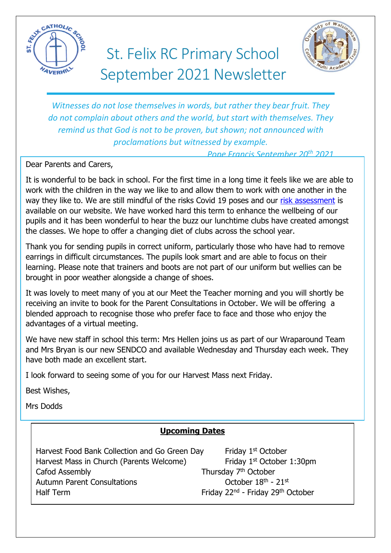

# St. Felix RC Primary School September 2021 Newsletter



*Witnesses do not lose themselves in words, but rather they bear fruit. They do not complain about others and the world, but start with themselves. They remind us that God is not to be proven, but shown; not announced with proclamations but witnessed by example.*

*Pope Francis September 20th 2021*

Dear Parents and Carers,

It is wonderful to be back in school. For the first time in a long time it feels like we are able to work with the children in the way we like to and allow them to work with one another in the way they like to. We are still mindful of the risks Covid 19 poses and our [risk assessment](https://www.stfelixhaverhill.com/parents/newsletters) is available on our website. We have worked hard this term to enhance the wellbeing of our pupils and it has been wonderful to hear the buzz our lunchtime clubs have created amongst the classes. We hope to offer a changing diet of clubs across the school year.

Thank you for sending pupils in correct uniform, particularly those who have had to remove earrings in difficult circumstances. The pupils look smart and are able to focus on their learning. Please note that trainers and boots are not part of our uniform but wellies can be brought in poor weather alongside a change of shoes.

It was lovely to meet many of you at our Meet the Teacher morning and you will shortly be receiving an invite to book for the Parent Consultations in October. We will be offering a blended approach to recognise those who prefer face to face and those who enjoy the advantages of a virtual meeting.

We have new staff in school this term: Mrs Hellen joins us as part of our Wraparound Team and Mrs Bryan is our new SENDCO and available Wednesday and Thursday each week. They have both made an excellent start.

I look forward to seeing some of you for our Harvest Mass next Friday.

Best Wishes,

Mrs Dodds

# **Upcoming Dates**

Harvest Food Bank Collection and Go Green Day Friday 1<sup>st</sup> October Harvest Mass in Church (Parents Welcome) Friday 1<sup>st</sup> October 1:30pm Cafod Assembly **Thursday 7<sup>th</sup> October** Autumn Parent Consultations **Consultations** October 18<sup>th</sup> - 21<sup>st</sup> Half Term Friday 22<sup>nd</sup> - Friday 29<sup>th</sup> October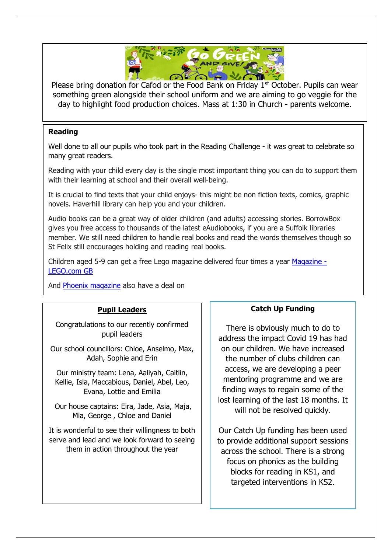

Please bring donation for Cafod or the Food Bank on Friday 1<sup>st</sup> October. Pupils can wear something green alongside their school uniform and we are aiming to go veggie for the day to highlight food production choices. Mass at 1:30 in Church - parents welcome.

## **Reading**

Well done to all our pupils who took part in the Reading Challenge - it was great to celebrate so many great readers.

Reading with your child every day is the single most important thing you can do to support them with their learning at school and their overall well-being.

It is crucial to find texts that your child enjoys- this might be non fiction texts, comics, graphic novels. Haverhill library can help you and your children.

Audio books can be a great way of older children (and adults) accessing stories. BorrowBox gives you free access to thousands of the latest eAudiobooks, if you are a Suffolk libraries member. We still need children to handle real books and read the words themselves though so St Felix still encourages holding and reading real books.

Children aged 5-9 can get a free Lego magazine delivered four times a year [Magazine](https://www.lego.com/en-gb/life/magazine) -[LEGO.com](https://www.lego.com/en-gb/life/magazine) GB

And Phoenix [magazine](https://www.thephoenixcomic.co.uk/Subscription/Gift) also have a deal on

#### **Pupil Leaders**

Congratulations to our recently confirmed pupil leaders

Our school councillors: Chloe, Anselmo, Max, Adah, Sophie and Erin

Our ministry team: Lena, Aaliyah, Caitlin, Kellie, Isla, Maccabious, Daniel, Abel, Leo, Evana, Lottie and Emilia

Our house captains: Eira, Jade, Asia, Maja, Mia, George , Chloe and Daniel

It is wonderful to see their willingness to both serve and lead and we look forward to seeing them in action throughout the year

## **Catch Up Funding**

There is obviously much to do to address the impact Covid 19 has had on our children. We have increased the number of clubs children can access, we are developing a peer mentoring programme and we are finding ways to regain some of the lost learning of the last 18 months. It will not be resolved quickly.

Our Catch Up funding has been used to provide additional support sessions across the school. There is a strong focus on phonics as the building blocks for reading in KS1, and targeted interventions in KS2.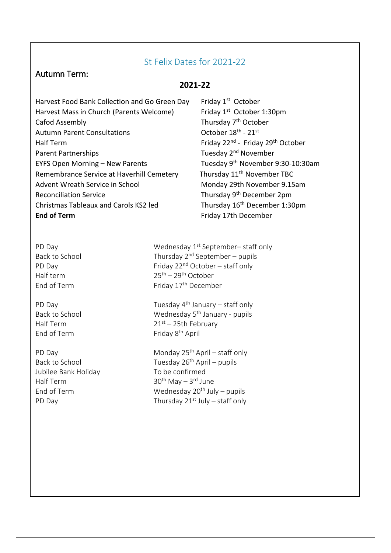# St Felix Dates for 2021-22

# Autumn Term:

## **2021-22**

Harvest Food Bank Collection and Go Green Day Harvest Mass in Church (Parents Welcome) Cafod Assembly **Thursday 7<sup>th</sup> October** Autumn Parent Consultations Half Term **Friday 22<sup>nd</sup>** - Friday 29<sup>th</sup> October Parent Partnerships Tuesday 2<sup>nd</sup> November EYFS Open Morning – New Parents Tuesday 9<sup>th</sup> November 9:30-10:30am Remembrance Service at Haverhill Cemetery Thursday 11<sup>th</sup> November TBC Advent Wreath Service in School Monday 29th November 9.15am Reconciliation Service Thursday 9<sup>th</sup> December 2pm Christmas Tableaux and Carols KS2 led Thursday 16<sup>th</sup> December 1:30pm **End of Term** Friday 17th December

Friday 1<sup>st</sup> October Friday  $1^{st}$  October 1:30pm October  $18^{\text{th}}$  -  $21^{\text{st}}$ 

End of Term

Jubilee Bank Holiday To be confirmed Half Term 30<sup>th</sup> May – 3<sup>rd</sup> June

PD Day PD Day Wednesday 1<sup>st</sup> September– staff only Back to School  $\qquad \qquad$  Thursday  $2^{nd}$  September – pupils PD Day Friday 22<sup>nd</sup> October – staff only Half term 25th – 29th October End of Term Friday 17<sup>th</sup> December

PD Day **Phone 20** Tuesday  $4<sup>th</sup>$  January – staff only Back to School Wednesday 5th January - pupils Half Term  $21^{st} - 25th$  February Friday 8<sup>th</sup> April

PD Day Monday 25<sup>th</sup> April – staff only Back to School  $T$ uesday 26<sup>th</sup> April – pupils End of Term Wednesday 20<sup>th</sup> July – pupils PD Day **Thursday 21st July – staff only**